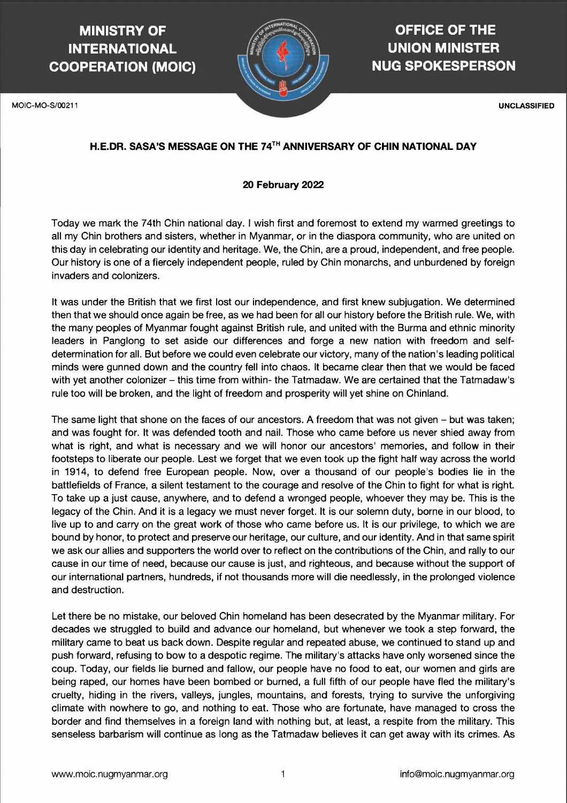## **MINISTRY OF INTERNATIONAL COOPERATION (MOIC)**

## **OFFICE OF THE UNION MINISTER NUG SPOKESPERSON**

### **H.E.DR. SASA'S MESSAGE ON THE 74TH ANNIVERSARY OF CHIN NATIONAL DAY**

#### **20 February 2022**

Today we mark the 74th Chin national day. I wish first and foremost to extend my warmed greetings to all my Chin brothers and sisters, whether in Myanmar, or in the diaspora community, who are united on this day in celebrating our identity and heritage. We, the Chin, are a proud, independent, and free people. Our history is one of a fiercely independent people, ruled by Chin monarchs, and unburdened by foreign invaders and colonizers.

It was under the British that we first lost our independence, and first knew subjugation. We determined then that we should once again be free, as we had been for all our history before the British rule. We, with the many peoples of Myanmar fought against British rule, and united with the Burma and ethnic minority leaders in Panglong to set aside our differences and forge a new nation with freedom and selfdetermination for all. But before we could even celebrate our victory, many of the nation's leading political minds were gunned down and the country fell into chaos. It became clear then that we would be faced with yet another colonizer – this time from within- the Tatmadaw. We are certained that the Tatmadaw's rule too will be broken, and the light of freedom and prosperity will yet shine on Chinland.

The same light that shone on the faces of our ancestors. A freedom that was not given - but was taken; and was fought for. It was defended tooth and nail. Those who came before us never shied away from what is right, and what is necessary and we will honor our ancestors' memories, and follow in their footsteps to liberate our people. Lest we forget that we even took up the fight half way across the world in 1914, to defend free European people. Now, over a thousand of our people's bodies lie in the battlefields of France, a silent testament to the courage and resolve of the Chin to fight for what is right. To take up a just cause, anywhere, and to defend a wronged people, whoever they may be. This is the legacy of the Chin. And it is a legacy we must never forget. It is our solemn duty, borne in our blood, to live up to and carry on the great work of those who came before us. It is our privilege, to which we are bound by honor, to protect and preserve our heritage, our culture, and our identity. And in that same spirit we ask our allies and supporters the world over to reflect on the contributions of the Chin, and rally to our cause in our time of need, because our cause is just, and righteous, and because without the support of our international partners, hundreds, if not thousands more will die needlessly, in the prolonged violence and destruction.



Let there be no mistake, our beloved Chin homeland has been desecrated by the Myanmar military. For decades we struggled to build and advance our homeland, but whenever we took a step forward, the military came to beat us back down. Despite regular and repeated abuse, we continued to stand up and push forward, refusing to bow to a despotic regime. The military's attacks have only worsened since the coup. Today, our fields lie burned and fallow, our people have no food to eat, our women and girls are being raped, our homes have been bombed or burned, a full fifth of our people have fled the military's cruelty, hiding in the rivers, valleys, jungles, mountains, and forests, trying to survive the unforgiving climate with nowhere to go, and nothing to eat. Those who are fortunate, have managed to cross the border and find themselves in a foreign land with nothing but, at least, a respite from the military. This senseless barbarism will continue as long as the Tatmadaw believes it can get away with its crimes. As